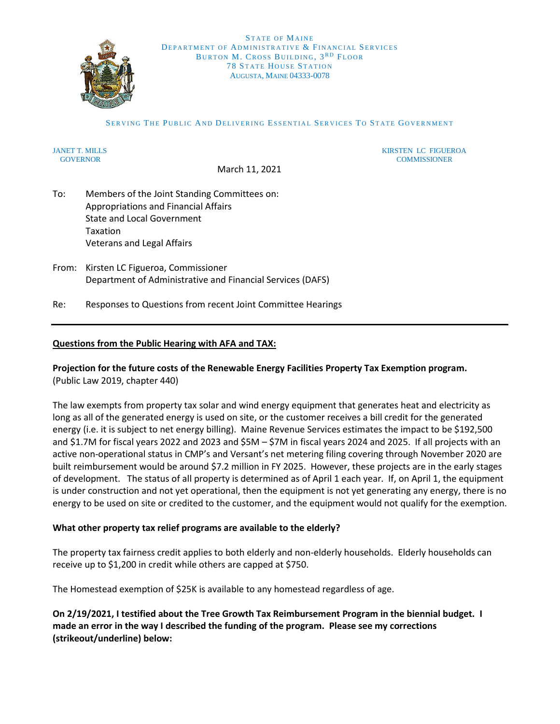

#### SERVING THE PUBLIC AND DELIVERING ESSENTIAL SERVICES TO STATE GOVERNMENT

JANET T. MILLS KIRSTEN LC FIGUEROA GOVERNOR COMMISSIONER

March 11, 2021

- To: Members of the Joint Standing Committees on: Appropriations and Financial Affairs State and Local Government Taxation Veterans and Legal Affairs
- From: Kirsten LC Figueroa, Commissioner Department of Administrative and Financial Services (DAFS)
- Re: Responses to Questions from recent Joint Committee Hearings

#### **Questions from the Public Hearing with AFA and TAX:**

# **Projection for the future costs of the Renewable Energy Facilities Property Tax Exemption program.**

(Public Law 2019, chapter 440)

The law exempts from property tax solar and wind energy equipment that generates heat and electricity as long as all of the generated energy is used on site, or the customer receives a bill credit for the generated energy (i.e. it is subject to net energy billing). Maine Revenue Services estimates the impact to be \$192,500 and \$1.7M for fiscal years 2022 and 2023 and \$5M – \$7M in fiscal years 2024 and 2025.  If all projects with an active non-operational status in CMP's and Versant's net metering filing covering through November 2020 are built reimbursement would be around \$7.2 million in FY 2025.  However, these projects are in the early stages of development. The status of all property is determined as of April 1 each year. If, on April 1, the equipment is under construction and not yet operational, then the equipment is not yet generating any energy, there is no energy to be used on site or credited to the customer, and the equipment would not qualify for the exemption.

#### **What other property tax relief programs are available to the elderly?**

The property tax fairness credit applies to both elderly and non-elderly households. Elderly households can receive up to \$1,200 in credit while others are capped at \$750.

The Homestead exemption of \$25K is available to any homestead regardless of age.

**On 2/19/2021, I testified about the Tree Growth Tax Reimbursement Program in the biennial budget. I made an error in the way I described the funding of the program. Please see my corrections (strikeout/underline) below:**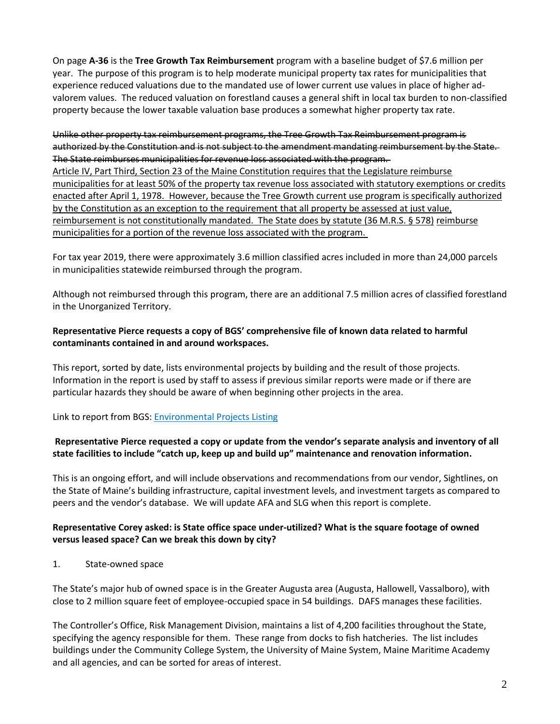On page **A-36** is the **Tree Growth Tax Reimbursement** program with a baseline budget of \$7.6 million per year.The purpose of this program is to help moderate municipal property tax rates for municipalities that experience reduced valuations due to the mandated use of lower current use values in place of higher advalorem values. The reduced valuation on forestland causes a general shift in local tax burden to non-classified property because the lower taxable valuation base produces a somewhat higher property tax rate.

Unlike other property tax reimbursement programs, the Tree Growth Tax Reimbursement program is authorized by the Constitution and is not subject to the amendment mandating reimbursement by the State. The State reimburses municipalities for revenue loss associated with the program. Article IV, Part Third, Section 23 of the Maine Constitution requires that the Legislature reimburse municipalities for at least 50% of the property tax revenue loss associated with statutory exemptions or credits enacted after April 1, 1978. However, because the Tree Growth current use program is specifically authorized by the Constitution as an exception to the requirement that all property be assessed at just value, reimbursement is not constitutionally mandated. The State does by statute (36 M.R.S. § 578) reimburse municipalities for a portion of the revenue loss associated with the program.

For tax year 2019, there were approximately 3.6 million classified acres included in more than 24,000 parcels in municipalities statewide reimbursed through the program.

Although not reimbursed through this program, there are an additional 7.5 million acres of classified forestland in the Unorganized Territory.

### **Representative Pierce requests a copy of BGS' comprehensive file of known data related to harmful contaminants contained in and around workspaces.**

This report, sorted by date, lists environmental projects by building and the result of those projects. Information in the report is used by staff to assess if previous similar reports were made or if there are particular hazards they should be aware of when beginning other projects in the area.

Link to report from BGS: [Environmental Projects Listing](https://gcc02.safelinks.protection.outlook.com/?url=https%3A%2F%2Fwww.maine.gov%2Fdafs%2Fbgs%2Fsites%2Fmaine.gov.dafs.bgs%2Ffiles%2Finline-files%2FEnvironmental%2520Projects%2520Listing.xlsx&data=04%7C01%7CJennifer.Merrow%40maine.gov%7Cc59a035a227f49b7c88e08d8e01867d8%7C413fa8ab207d4b629bcdea1a8f2f864e%7C0%7C0%7C637505742729902226%7CUnknown%7CTWFpbGZsb3d8eyJWIjoiMC4wLjAwMDAiLCJQIjoiV2luMzIiLCJBTiI6Ik1haWwiLCJXVCI6Mn0%3D%7C1000&sdata=%2BpMDmkr5FS5obe%2BZhQ42vVQZN6RrfdAoL8NXNgEfCGM%3D&reserved=0)

### **Representative Pierce requested a copy or update from the vendor's separate analysis and inventory of all state facilities to include "catch up, keep up and build up" maintenance and renovation information.**

This is an ongoing effort, and will include observations and recommendations from our vendor, Sightlines, on the State of Maine's building infrastructure, capital investment levels, and investment targets as compared to peers and the vendor's database. We will update AFA and SLG when this report is complete.

### **Representative Corey asked: is State office space under-utilized? What is the square footage of owned versus leased space? Can we break this down by city?**

1. State-owned space

The State's major hub of owned space is in the Greater Augusta area (Augusta, Hallowell, Vassalboro), with close to 2 million square feet of employee-occupied space in 54 buildings. DAFS manages these facilities.

The Controller's Office, Risk Management Division, maintains a list of 4,200 facilities throughout the State, specifying the agency responsible for them. These range from docks to fish hatcheries. The list includes buildings under the Community College System, the University of Maine System, Maine Maritime Academy and all agencies, and can be sorted for areas of interest.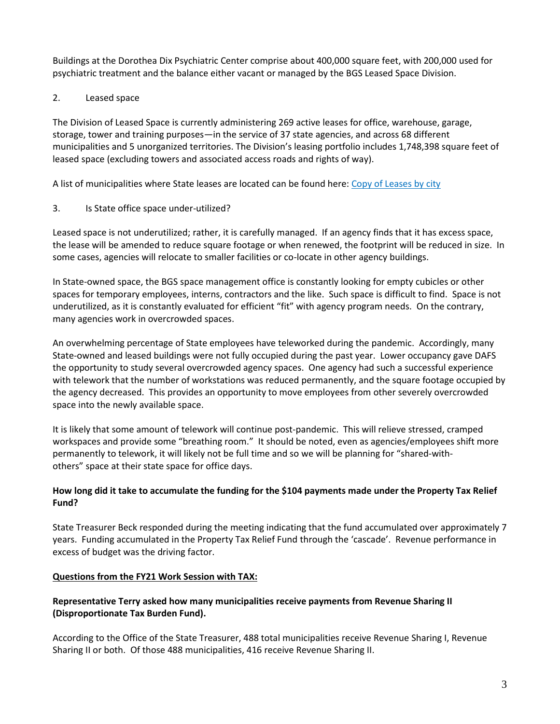Buildings at the Dorothea Dix Psychiatric Center comprise about 400,000 square feet, with 200,000 used for psychiatric treatment and the balance either vacant or managed by the BGS Leased Space Division.

## 2. Leased space

The Division of Leased Space is currently administering 269 active leases for office, warehouse, garage, storage, tower and training purposes—in the service of 37 state agencies, and across 68 different municipalities and 5 unorganized territories. The Division's leasing portfolio includes 1,748,398 square feet of leased space (excluding towers and associated access roads and rights of way).

A list of municipalities where State leases are located can be found here: Copy of [Leases by city](https://gcc02.safelinks.protection.outlook.com/?url=https%3A%2F%2Fwww.maine.gov%2Fdafs%2Fbgs%2Fsites%2Fmaine.gov.dafs.bgs%2Ffiles%2Finline-files%2FCopy%2520of%2520Leases%2520by%2520City.xlsx&data=04%7C01%7CJennifer.Merrow%40maine.gov%7Cc59a035a227f49b7c88e08d8e01867d8%7C413fa8ab207d4b629bcdea1a8f2f864e%7C0%7C0%7C637505742729902226%7CUnknown%7CTWFpbGZsb3d8eyJWIjoiMC4wLjAwMDAiLCJQIjoiV2luMzIiLCJBTiI6Ik1haWwiLCJXVCI6Mn0%3D%7C1000&sdata=u9K98e3SosVwwcGsw8Z7LSAfgrc6MSRMafEIxOy5za8%3D&reserved=0)

## 3. Is State office space under-utilized?

Leased space is not underutilized; rather, it is carefully managed. If an agency finds that it has excess space, the lease will be amended to reduce square footage or when renewed, the footprint will be reduced in size. In some cases, agencies will relocate to smaller facilities or co-locate in other agency buildings.

In State-owned space, the BGS space management office is constantly looking for empty cubicles or other spaces for temporary employees, interns, contractors and the like. Such space is difficult to find. Space is not underutilized, as it is constantly evaluated for efficient "fit" with agency program needs. On the contrary, many agencies work in overcrowded spaces.

An overwhelming percentage of State employees have teleworked during the pandemic. Accordingly, many State-owned and leased buildings were not fully occupied during the past year. Lower occupancy gave DAFS the opportunity to study several overcrowded agency spaces. One agency had such a successful experience with telework that the number of workstations was reduced permanently, and the square footage occupied by the agency decreased. This provides an opportunity to move employees from other severely overcrowded space into the newly available space.

It is likely that some amount of telework will continue post-pandemic. This will relieve stressed, cramped workspaces and provide some "breathing room." It should be noted, even as agencies/employees shift more permanently to telework, it will likely not be full time and so we will be planning for "shared-withothers" space at their state space for office days.

## **How long did it take to accumulate the funding for the \$104 payments made under the Property Tax Relief Fund?**

State Treasurer Beck responded during the meeting indicating that the fund accumulated over approximately 7 years.  Funding accumulated in the Property Tax Relief Fund through the 'cascade'.  Revenue performance in excess of budget was the driving factor.

#### **Questions from the FY21 Work Session with TAX:**

## **Representative Terry asked how many municipalities receive payments from Revenue Sharing II (Disproportionate Tax Burden Fund).**

According to the Office of the State Treasurer, 488 total municipalities receive Revenue Sharing I, Revenue Sharing II or both. Of those 488 municipalities, 416 receive Revenue Sharing II.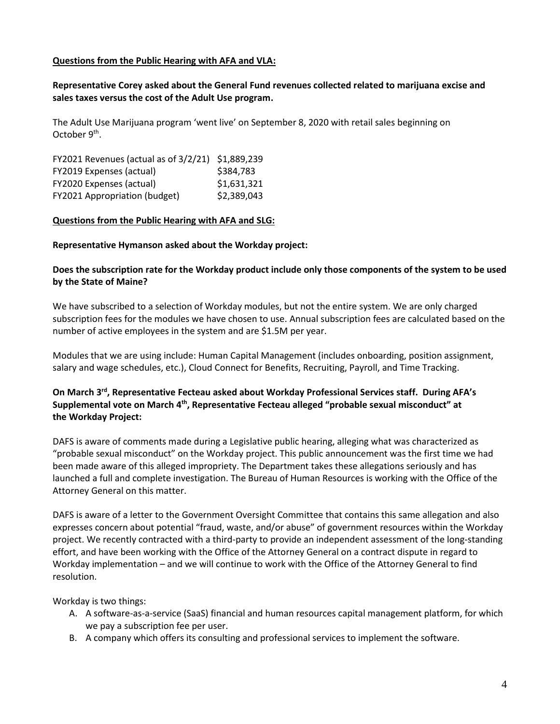#### **Questions from the Public Hearing with AFA and VLA:**

## **Representative Corey asked about the General Fund revenues collected related to marijuana excise and sales taxes versus the cost of the Adult Use program.**

The Adult Use Marijuana program 'went live' on September 8, 2020 with retail sales beginning on October 9<sup>th</sup>.

| FY2021 Revenues (actual as of 3/2/21) \$1,889,239 |             |
|---------------------------------------------------|-------------|
| FY2019 Expenses (actual)                          | \$384.783   |
| FY2020 Expenses (actual)                          | \$1,631,321 |
| FY2021 Appropriation (budget)                     | \$2,389,043 |

#### **Questions from the Public Hearing with AFA and SLG:**

#### **Representative Hymanson asked about the Workday project:**

### **Does the subscription rate for the Workday product include only those components of the system to be used by the State of Maine?**

We have subscribed to a selection of Workday modules, but not the entire system. We are only charged subscription fees for the modules we have chosen to use. Annual subscription fees are calculated based on the number of active employees in the system and are \$1.5M per year.

Modules that we are using include: Human Capital Management (includes onboarding, position assignment, salary and wage schedules, etc.), Cloud Connect for Benefits, Recruiting, Payroll, and Time Tracking.

## **On March 3 rd , Representative Fecteau asked about Workday Professional Services staff. During AFA's** Supplemental vote on March 4<sup>th</sup>, Representative Fecteau alleged "probable sexual misconduct" at **the Workday Project:**

DAFS is aware of comments made during a Legislative public hearing, alleging what was characterized as "probable sexual misconduct" on the Workday project. This public announcement was the first time we had been made aware of this alleged impropriety. The Department takes these allegations seriously and has launched a full and complete investigation. The Bureau of Human Resources is working with the Office of the Attorney General on this matter.

DAFS is aware of a letter to the Government Oversight Committee that contains this same allegation and also expresses concern about potential "fraud, waste, and/or abuse" of government resources within the Workday project. We recently contracted with a third-party to provide an independent assessment of the long-standing effort, and have been working with the Office of the Attorney General on a contract dispute in regard to Workday implementation – and we will continue to work with the Office of the Attorney General to find resolution.

Workday is two things:

- A. A software-as-a-service (SaaS) financial and human resources capital management platform, for which we pay a subscription fee per user.
- B. A company which offers its consulting and professional services to implement the software.